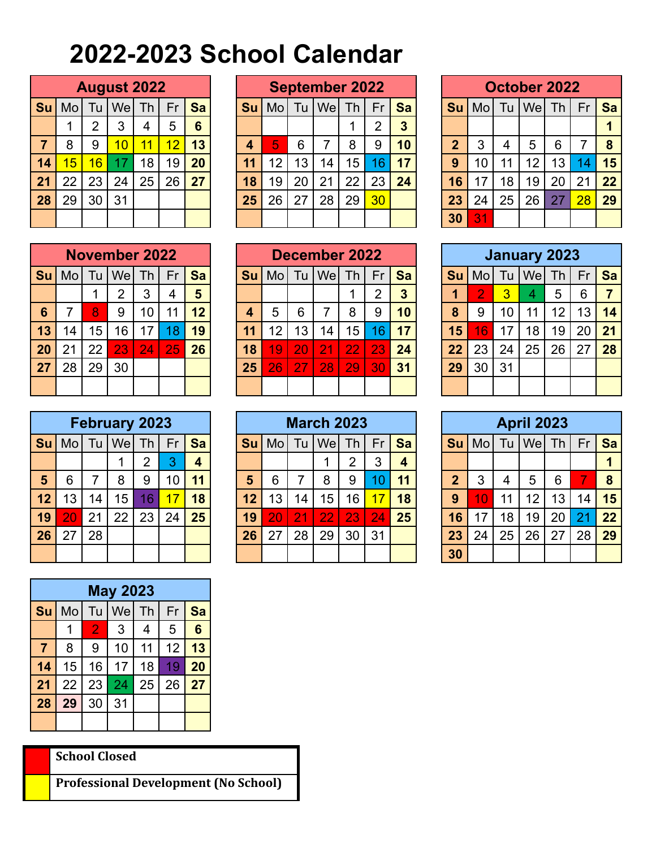## **2022-2023 School Calendar**

|    | <b>August 2022</b> |                |     |    |    |           |  |  |  |  |  |  |  |  |
|----|--------------------|----------------|-----|----|----|-----------|--|--|--|--|--|--|--|--|
| Su | Mo                 | Tu             | Wel | Th | Fr | <b>Sa</b> |  |  |  |  |  |  |  |  |
|    |                    | $\overline{2}$ | 3   | 4  | 5  | 6         |  |  |  |  |  |  |  |  |
| 7  | 8                  | 9              | 10  | 11 | 12 | 13        |  |  |  |  |  |  |  |  |
| 14 | 15                 | 16             | 17  | 18 | 19 | 20        |  |  |  |  |  |  |  |  |
| 21 | 22                 | 23             | 24  | 25 | 26 | 27        |  |  |  |  |  |  |  |  |
| 28 | 29                 | 30             | 31  |    |    |           |  |  |  |  |  |  |  |  |
|    |                    |                |     |    |    |           |  |  |  |  |  |  |  |  |

|    | <b>August 2022</b> |     |     |    |    |    |  | <b>September 2022</b> |    |    |     |    |                 |    |  | October 2022 |    |    |     |           |    |           |
|----|--------------------|-----|-----|----|----|----|--|-----------------------|----|----|-----|----|-----------------|----|--|--------------|----|----|-----|-----------|----|-----------|
| Su | Mo                 | l u | Wel | Th | Fr | Sa |  | Su                    | Mo | Tu | Wel | Th | Fr              | Sa |  | <b>Su</b>    | Mo | Tu | Wel | <b>Th</b> | Fr | <b>Sa</b> |
|    |                    | າ   | 3   | 4  | 5  | 6  |  |                       |    |    |     |    | າ               | 3  |  |              |    |    |     |           |    |           |
|    | 8                  | 9   | 10  | 11 | 12 | 13 |  |                       | 5  | 6  |     | 8  | 9               | 10 |  | າ            | 3  | 4  | 5   | 6         | 7  | 8         |
| 14 | 15                 | 16  | 17  | 18 | 19 | 20 |  | 11                    | 12 | 13 | 14  | 15 | 6               | 17 |  | 9            | 10 | 11 | 12  | Ι3        | 14 | 15        |
| 21 | 22                 | 23  | 24  | 25 | 26 | 27 |  | 18                    | 19 | 20 | 21  | 22 | 23              | 24 |  | 16           |    | 18 | 19  | 20        | 21 | 22        |
| 28 | 29                 | 30  | 31  |    |    |    |  | 25                    | 26 | 27 | 28  | 29 | 30 <sub>2</sub> |    |  | 23           | 24 | 25 | 26  | 27        | 28 | 29        |
|    |                    |     |     |    |    |    |  |                       |    |    |     |    |                 |    |  | 30           | 31 |    |     |           |    |           |

|                | <b>October 2022</b>                |    |    |    |    |    |  |  |  |  |  |  |  |  |
|----------------|------------------------------------|----|----|----|----|----|--|--|--|--|--|--|--|--|
| Su             | $Tu$   We   Th<br>Mol<br>Fr        |    |    |    |    |    |  |  |  |  |  |  |  |  |
|                |                                    |    |    |    |    |    |  |  |  |  |  |  |  |  |
| $\overline{2}$ | 5<br>3<br>6<br>$\overline{4}$<br>7 |    |    |    |    |    |  |  |  |  |  |  |  |  |
| 9              | 10                                 | 11 | 12 | 13 | 14 | 15 |  |  |  |  |  |  |  |  |
| 16             | 17                                 | 18 | 19 | 20 | 21 | 22 |  |  |  |  |  |  |  |  |
| 23             | 24                                 | 25 | 26 | 27 | 28 | 29 |  |  |  |  |  |  |  |  |
| 30             | 31                                 |    |    |    |    |    |  |  |  |  |  |  |  |  |

|                 | <b>November 2022</b> |           |    |    |    |    |  |  |  |  |  |  |  |  |
|-----------------|----------------------|-----------|----|----|----|----|--|--|--|--|--|--|--|--|
| Su              | Mol                  | <b>Sa</b> |    |    |    |    |  |  |  |  |  |  |  |  |
|                 |                      |           | 2  | 3  | 4  | 5  |  |  |  |  |  |  |  |  |
| $6\phantom{1}6$ | $\overline{7}$       | 8         | 9  | 10 | 11 | 12 |  |  |  |  |  |  |  |  |
| 13              | 14                   | 15        | 16 | 17 | 18 | 19 |  |  |  |  |  |  |  |  |
| 20              | 21                   | 22        | 23 | 24 | 25 | 26 |  |  |  |  |  |  |  |  |
| 27              | 28                   | 29        | 30 |    |    |    |  |  |  |  |  |  |  |  |
|                 |                      |           |    |    |    |    |  |  |  |  |  |  |  |  |

|    | <b>February 2023</b> |    |         |                |    |    |  |  |  |  |  |  |  |  |
|----|----------------------|----|---------|----------------|----|----|--|--|--|--|--|--|--|--|
| Su | M <sub>O</sub>       | Tu | $We$ Th |                | Fr | Sa |  |  |  |  |  |  |  |  |
|    |                      |    |         | $\overline{2}$ | 3  | 4  |  |  |  |  |  |  |  |  |
| 5  | 6                    | 7  | 8       | 9              | 10 | 11 |  |  |  |  |  |  |  |  |
| 12 | 13                   | 14 | 15      | 16             | 17 | 18 |  |  |  |  |  |  |  |  |
| 19 | 20                   | 21 | 22      | 23             | 24 | 25 |  |  |  |  |  |  |  |  |
| 26 | 27                   | 28 |         |                |    |    |  |  |  |  |  |  |  |  |
|    |                      |    |         |                |    |    |  |  |  |  |  |  |  |  |

|                | <b>May 2023</b> |                                |    |    |    |    |  |  |  |  |  |  |  |  |
|----------------|-----------------|--------------------------------|----|----|----|----|--|--|--|--|--|--|--|--|
| Su             |                 | Wel Th<br>Tu<br>M <sub>o</sub> |    |    |    | Sa |  |  |  |  |  |  |  |  |
|                |                 | $\overline{2}$                 | 3  | 4  | 5  | 6  |  |  |  |  |  |  |  |  |
| $\overline{7}$ | 8               | 9                              | 10 | 11 | 12 | 13 |  |  |  |  |  |  |  |  |
| 14             | 15              | 16                             | 17 | 18 | 19 | 20 |  |  |  |  |  |  |  |  |
| 21             | 22              | 23                             | 24 | 25 | 26 | 27 |  |  |  |  |  |  |  |  |
| 28             | 29              | 30                             | 31 |    |    |    |  |  |  |  |  |  |  |  |
|                |                 |                                |    |    |    |    |  |  |  |  |  |  |  |  |

**School Closed**

**Professional Development (No School)**

|    |    |                 | <b>November 2022</b> |                 |    |    |    | December 2022 |    |     |                 |     |                          |  | <b>January 2023</b> |    |                |     |                 |    |           |
|----|----|-----------------|----------------------|-----------------|----|----|----|---------------|----|-----|-----------------|-----|--------------------------|--|---------------------|----|----------------|-----|-----------------|----|-----------|
| Su | Mo | l u             | Wel                  | Th              | Fr | Sa | Su | Mo            | Tu | Wel | Th              | Fr  | Sa                       |  | <b>Su</b>           | Mo | Tu             | Wel | Th              | Fr | <b>Sa</b> |
|    |    |                 | ⌒                    | 3               |    | 5  |    |               |    |     |                 |     | 3                        |  |                     | റ  | $\overline{3}$ | 4   | 5               | 6  |           |
| 6  |    | 8               | 9                    | 10              | 11 | 12 |    | 5             | 6  |     | 8               | 9   | 10                       |  | 8                   | 9  | 10             | 11  | 12              | 13 | 14        |
| 13 | 14 | 15 <sub>1</sub> | 16                   | 17              |    | 19 |    | 12            | Ι3 | 14  | 15 <sub>1</sub> | 16  | $\overline{\mathbf{17}}$ |  | 15                  | 16 | 17             | 18  | 19 <sup>°</sup> | 20 | 21        |
| 20 | 21 | 22              | 23                   | $\overline{24}$ | 25 | 26 | 18 | 19            | 20 | 21  | 22              | 23. | 24                       |  | 22                  | 23 | 24             | 25  | 26              | 27 | 28        |
| 27 | 28 | 29              | 30                   |                 |    |    | 25 | 26            | 27 | 28  | 29              | 30  | 31                       |  | 29                  | 30 | 31             |     |                 |    |           |
|    |    |                 |                      |                 |    |    |    |               |    |     |                 |     |                          |  |                     |    |                |     |                 |    |           |

|    |                 |    | <b>February 2023</b> |    |    |                         | <b>March 2023</b> |    |                 |     |                |                |    |  |           |                |    | <b>April 2023</b> |                                 |    |    |
|----|-----------------|----|----------------------|----|----|-------------------------|-------------------|----|-----------------|-----|----------------|----------------|----|--|-----------|----------------|----|-------------------|---------------------------------|----|----|
| Su | Mo              | Tu | Wel                  | Th | Fr | Sa                      | Su                | Mo | Tu              | Wel | Th             | Fr             | Sa |  | <b>Su</b> | Mol            | Tu | We                | $\sqrt{\mathsf{Th}}\mathcal{F}$ | Fr | Sa |
|    |                 |    |                      | ◠  |    | $\overline{\mathbf{4}}$ |                   |    |                 |     | $\overline{2}$ | 3              |    |  |           |                |    |                   |                                 |    |    |
| 5  | 6               |    | 8                    | 9  | 10 | 11                      | 5                 | 6  |                 | 8   | 9              |                | 11 |  | າ         | 3              | 4  | 5                 | 6                               |    | 8  |
| 12 | 13              | 14 | 15 <sub>1</sub>      | 16 |    | 18                      | 12                | 13 | 14 <sub>1</sub> | 15  | 16             | $\overline{7}$ | 18 |  | 9         | $\overline{0}$ | 11 | 12                | Ι3                              | 14 | 15 |
| 19 | $\overline{20}$ | 21 | 22                   | 23 | 24 | 25                      | 19                | 20 | 21              | 22  | 23             | 24             | 25 |  | 16        |                | 18 | 19                | 20                              | 21 | 22 |
| 26 | 27              | 28 |                      |    |    |                         | 26                | 27 | 28              | 29  | 30             | 31             |    |  | 23        | 24             | 25 | 26                | 27                              | 28 | 29 |
|    |                 |    |                      |    |    |                         |                   |    |                 |     |                |                |    |  | 30        |                |    |                   |                                 |    |    |

|                         |                   |           | <b>January 2023</b> |    |    |    |
|-------------------------|-------------------|-----------|---------------------|----|----|----|
| Su                      | Tu   We  Th<br>Mo | <b>Sa</b> |                     |    |    |    |
| $\overline{\mathbf{1}}$ | 2                 | 3         | 4                   | 5  | 6  |    |
| 8                       | 9                 | 13        | 14                  |    |    |    |
| 15                      | 16                | 17        | 18                  | 19 | 20 | 21 |
| 22                      | 23                | 24        | 25                  | 26 | 27 | 28 |
| 29                      | 30                | 31        |                     |    |    |    |
|                         |                   |           |                     |    |    |    |

|                | <b>April 2023</b><br>$Tu$   We   Th |           |    |    |    |                 |  |  |  |  |  |  |  |  |
|----------------|-------------------------------------|-----------|----|----|----|-----------------|--|--|--|--|--|--|--|--|
| Su             | Mo                                  | <b>Sa</b> |    |    |    |                 |  |  |  |  |  |  |  |  |
|                |                                     |           |    |    |    |                 |  |  |  |  |  |  |  |  |
| $\overline{2}$ | 3                                   | 4         | 5  | 6  | 7  | 8               |  |  |  |  |  |  |  |  |
| 9              | 10                                  | 11        | 12 | 13 | 14 | 15              |  |  |  |  |  |  |  |  |
| 16             | 17                                  | 18        | 19 | 20 | 21 | 22 <sub>2</sub> |  |  |  |  |  |  |  |  |
| 23             | 24                                  | 25        | 26 | 27 | 28 | 29              |  |  |  |  |  |  |  |  |
| 30             |                                     |           |    |    |    |                 |  |  |  |  |  |  |  |  |